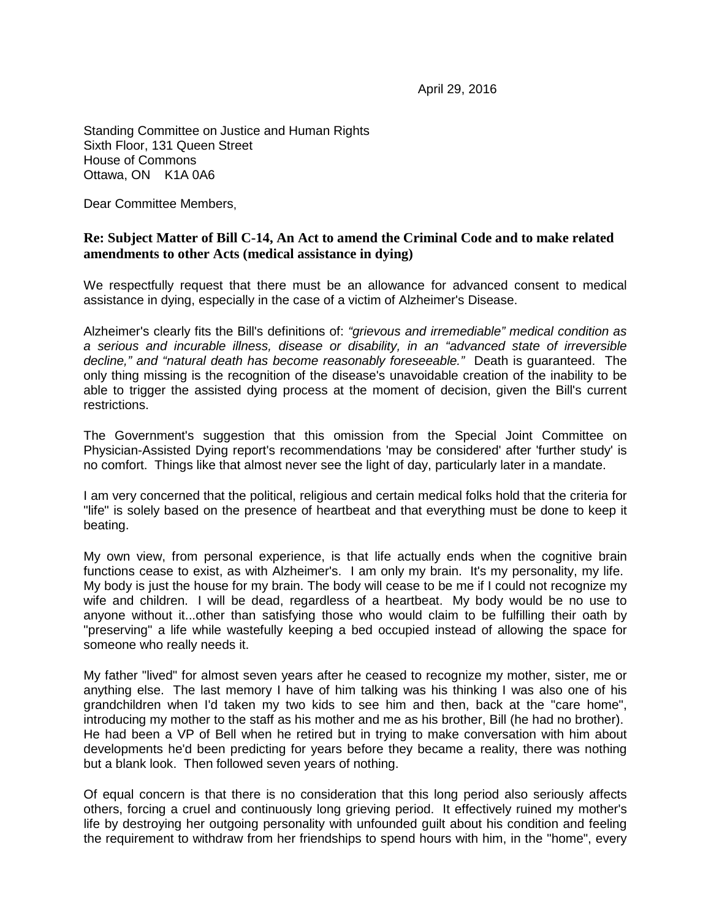April 29, 2016

Standing Committee on Justice and Human Rights Sixth Floor, 131 Queen Street House of Commons Ottawa, ON K1A 0A6

Dear Committee Members,

## **Re: Subject Matter of Bill C-14, An Act to amend the Criminal Code and to make related amendments to other Acts (medical assistance in dying)**

We respectfully request that there must be an allowance for advanced consent to medical assistance in dying, especially in the case of a victim of Alzheimer's Disease.

Alzheimer's clearly fits the Bill's definitions of: *"grievous and irremediable" medical condition as a serious and incurable illness, disease or disability, in an "advanced state of irreversible decline," and "natural death has become reasonably foreseeable."* Death is guaranteed. The only thing missing is the recognition of the disease's unavoidable creation of the inability to be able to trigger the assisted dying process at the moment of decision, given the Bill's current restrictions.

The Government's suggestion that this omission from the Special Joint Committee on Physician-Assisted Dying report's recommendations 'may be considered' after 'further study' is no comfort. Things like that almost never see the light of day, particularly later in a mandate.

I am very concerned that the political, religious and certain medical folks hold that the criteria for "life" is solely based on the presence of heartbeat and that everything must be done to keep it beating.

My own view, from personal experience, is that life actually ends when the cognitive brain functions cease to exist, as with Alzheimer's. I am only my brain. It's my personality, my life. My body is just the house for my brain. The body will cease to be me if I could not recognize my wife and children. I will be dead, regardless of a heartbeat. My body would be no use to anyone without it...other than satisfying those who would claim to be fulfilling their oath by "preserving" a life while wastefully keeping a bed occupied instead of allowing the space for someone who really needs it.

My father "lived" for almost seven years after he ceased to recognize my mother, sister, me or anything else. The last memory I have of him talking was his thinking I was also one of his grandchildren when I'd taken my two kids to see him and then, back at the "care home", introducing my mother to the staff as his mother and me as his brother, Bill (he had no brother). He had been a VP of Bell when he retired but in trying to make conversation with him about developments he'd been predicting for years before they became a reality, there was nothing but a blank look. Then followed seven years of nothing.

Of equal concern is that there is no consideration that this long period also seriously affects others, forcing a cruel and continuously long grieving period. It effectively ruined my mother's life by destroying her outgoing personality with unfounded guilt about his condition and feeling the requirement to withdraw from her friendships to spend hours with him, in the "home", every